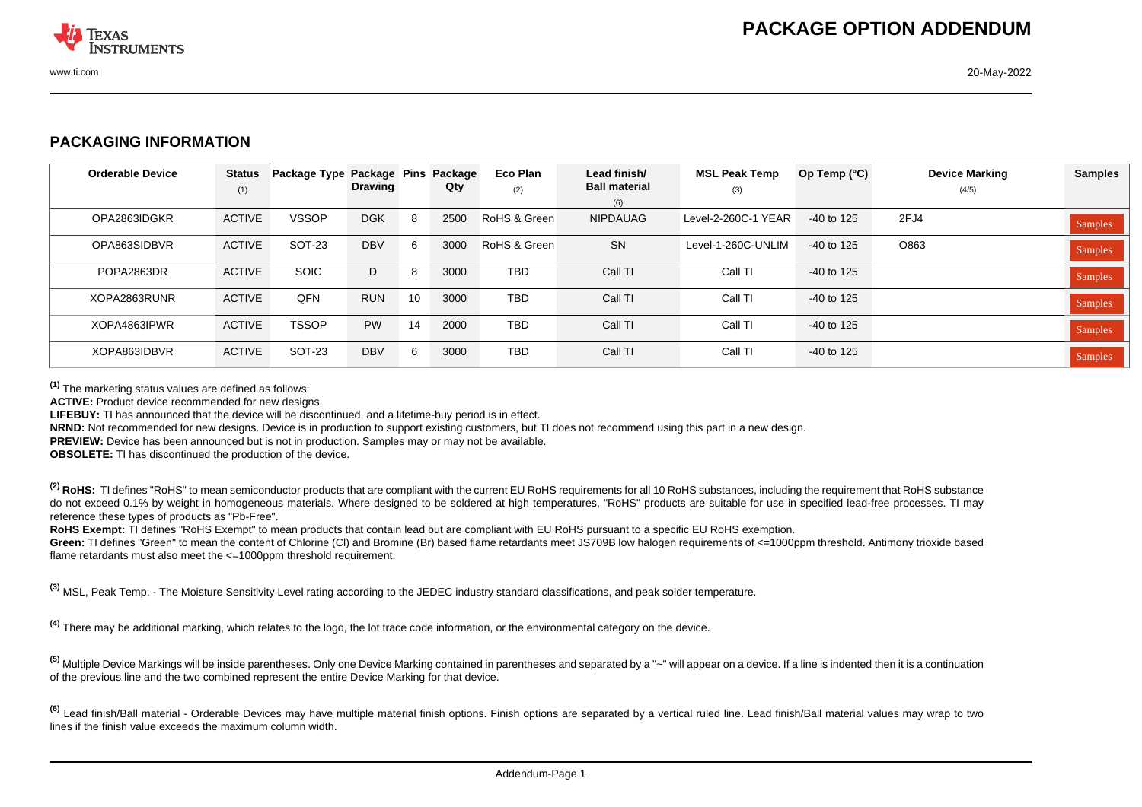

## **PACKAGING INFORMATION**

| <b>Orderable Device</b> | <b>Status</b><br>(1) | Package Type Package Pins | <b>Drawing</b> |    | Package<br>Qty | Eco Plan<br>(2) | Lead finish/<br><b>Ball material</b> | <b>MSL Peak Temp</b><br>(3) | Op Temp $(°C)$ | <b>Device Marking</b><br>(4/5) | <b>Samples</b> |
|-------------------------|----------------------|---------------------------|----------------|----|----------------|-----------------|--------------------------------------|-----------------------------|----------------|--------------------------------|----------------|
|                         |                      |                           |                |    |                |                 | (6)                                  |                             |                |                                |                |
| OPA2863IDGKR            | <b>ACTIVE</b>        | <b>VSSOP</b>              | <b>DGK</b>     | 8  | 2500           | RoHS & Green    | <b>NIPDAUAG</b>                      | Level-2-260C-1 YEAR         | $-40$ to 125   | 2FJ4                           | Samples        |
| OPA863SIDBVR            | <b>ACTIVE</b>        | SOT-23                    | <b>DBV</b>     | 6  | 3000           | RoHS & Green    | <b>SN</b>                            | Level-1-260C-UNLIM          | $-40$ to 125   | O863                           | Samples        |
| POPA2863DR              | <b>ACTIVE</b>        | <b>SOIC</b>               | D              | 8  | 3000           | <b>TBD</b>      | Call TI                              | Call TI                     | $-40$ to 125   |                                | Samples        |
| XOPA2863RUNR            | <b>ACTIVE</b>        | QFN                       | <b>RUN</b>     | 10 | 3000           | <b>TBD</b>      | Call TI                              | Call TI                     | $-40$ to 125   |                                | <b>Samples</b> |
| XOPA4863IPWR            | <b>ACTIVE</b>        | <b>TSSOP</b>              | <b>PW</b>      | 14 | 2000           | <b>TBD</b>      | Call TI                              | Call TI                     | $-40$ to 125   |                                | <b>Samples</b> |
| XOPA863IDBVR            | <b>ACTIVE</b>        | SOT-23                    | <b>DBV</b>     | 6  | 3000           | <b>TBD</b>      | Call TI                              | Call TI                     | $-40$ to 125   |                                | <b>Samples</b> |

**(1)** The marketing status values are defined as follows:

**ACTIVE:** Product device recommended for new designs.

**LIFEBUY:** TI has announced that the device will be discontinued, and a lifetime-buy period is in effect.

**NRND:** Not recommended for new designs. Device is in production to support existing customers, but TI does not recommend using this part in a new design.

**PREVIEW:** Device has been announced but is not in production. Samples may or may not be available.

**OBSOLETE:** TI has discontinued the production of the device.

<sup>(2)</sup> RoHS: TI defines "RoHS" to mean semiconductor products that are compliant with the current EU RoHS requirements for all 10 RoHS substances, including the requirement that RoHS substance do not exceed 0.1% by weight in homogeneous materials. Where designed to be soldered at high temperatures. "RoHS" products are suitable for use in specified lead-free processes. TI may reference these types of products as "Pb-Free".

RoHS Exempt: TI defines "RoHS Exempt" to mean products that contain lead but are compliant with EU RoHS pursuant to a specific EU RoHS exemption.

Green: TI defines "Green" to mean the content of Chlorine (CI) and Bromine (Br) based flame retardants meet JS709B low halogen requirements of <=1000ppm threshold. Antimony trioxide based flame retardants must also meet the <=1000ppm threshold requirement.

**(3)** MSL, Peak Temp. - The Moisture Sensitivity Level rating according to the JEDEC industry standard classifications, and peak solder temperature.

**(4)** There may be additional marking, which relates to the logo, the lot trace code information, or the environmental category on the device.

<sup>(5)</sup> Multiple Device Markings will be inside parentheses. Only one Device Marking contained in parentheses and separated by a "~" will appear on a device. If a line is indented then it is a continuation of the previous line and the two combined represent the entire Device Marking for that device.

<sup>(6)</sup> Lead finish/Ball material - Orderable Devices may have multiple material finish options. Finish options are separated by a vertical ruled line. Lead finish/Ball material values may wrap to two lines if the finish value exceeds the maximum column width.